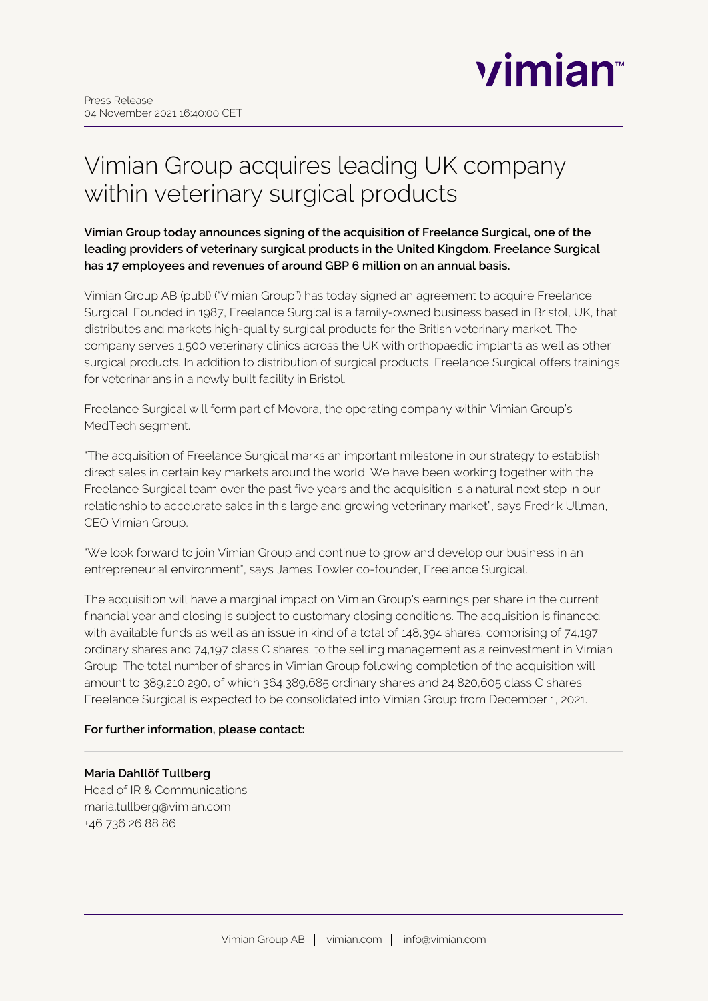

# Vimian Group acquires leading UK company within veterinary surgical products

**Vimian Group today announces signing of the acquisition of Freelance Surgical, one of the leading providers of veterinary surgical products in the United Kingdom. Freelance Surgical has 17 employees and revenues of around GBP 6 million on an annual basis.**

Vimian Group AB (publ) ("Vimian Group") has today signed an agreement to acquire Freelance Surgical. Founded in 1987, Freelance Surgical is a family-owned business based in Bristol, UK, that distributes and markets high-quality surgical products for the British veterinary market. The company serves 1,500 veterinary clinics across the UK with orthopaedic implants as well as other surgical products. In addition to distribution of surgical products, Freelance Surgical offers trainings for veterinarians in a newly built facility in Bristol.

Freelance Surgical will form part of Movora, the operating company within Vimian Group's MedTech segment.

"The acquisition of Freelance Surgical marks an important milestone in our strategy to establish direct sales in certain key markets around the world. We have been working together with the Freelance Surgical team over the past five years and the acquisition is a natural next step in our relationship to accelerate sales in this large and growing veterinary market", says Fredrik Ullman, CEO Vimian Group.

"We look forward to join Vimian Group and continue to grow and develop our business in an entrepreneurial environment", says James Towler co-founder, Freelance Surgical.

The acquisition will have a marginal impact on Vimian Group's earnings per share in the current financial year and closing is subject to customary closing conditions. The acquisition is financed with available funds as well as an issue in kind of a total of 148,394 shares, comprising of 74,197 ordinary shares and 74,197 class C shares, to the selling management as a reinvestment in Vimian Group. The total number of shares in Vimian Group following completion of the acquisition will amount to 389,210,290, of which 364,389,685 ordinary shares and 24,820,605 class C shares. Freelance Surgical is expected to be consolidated into Vimian Group from December 1, 2021.

#### **For further information, please contact:**

#### **Maria Dahllöf Tullberg**

Head of IR & Communications maria.tullberg@vimian.com +46 736 26 88 86